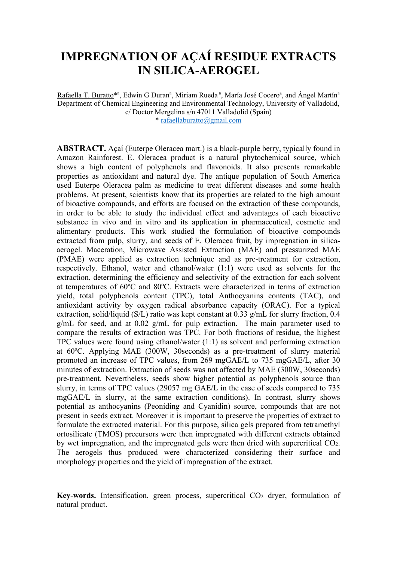# **IMPREGNATION OF AÇAÍ RESIDUE EXTRACTS IN SILICA-AEROGEL**

Rafaella T. Buratto\*<sup>a</sup>, Edwin G Duran<sup>a</sup>, Miriam Rueda<sup>a</sup>, María José Cocero<sup>a</sup>, and Ángel Martín<sup>a</sup> Department of Chemical Engineering and Environmental Technology, University of Valladolid, c/ Doctor Mergelina s/n 47011 Valladolid (Spain) \* rafaellaburatto@gmail.com

**ABSTRACT.** Açaí (Euterpe Oleracea mart.) is a black-purple berry, typically found in Amazon Rainforest. E. Oleracea product is a natural phytochemical source, which shows a high content of polyphenols and flavonoids. It also presents remarkable properties as antioxidant and natural dye. The antique population of South America used Euterpe Oleracea palm as medicine to treat different diseases and some health problems. At present, scientists know that its properties are related to the high amount of bioactive compounds, and efforts are focused on the extraction of these compounds, in order to be able to study the individual effect and advantages of each bioactive substance in vivo and in vitro and its application in pharmaceutical, cosmetic and alimentary products. This work studied the formulation of bioactive compounds extracted from pulp, slurry, and seeds of E. Oleracea fruit, by impregnation in silicaaerogel. Maceration, Microwave Assisted Extraction (MAE) and pressurized MAE (PMAE) were applied as extraction technique and as pre-treatment for extraction, respectively. Ethanol, water and ethanol/water (1:1) were used as solvents for the extraction, determining the efficiency and selectivity of the extraction for each solvent at temperatures of 60ºC and 80ºC. Extracts were characterized in terms of extraction yield, total polyphenols content (TPC), total Anthocyanins contents (TAC), and antioxidant activity by oxygen radical absorbance capacity (ORAC). For a typical extraction, solid/liquid (S/L) ratio was kept constant at 0.33 g/mL for slurry fraction, 0.4 g/mL for seed, and at  $0.02$  g/mL for pulp extraction. The main parameter used to compare the results of extraction was TPC. For both fractions of residue, the highest TPC values were found using ethanol/water (1:1) as solvent and performing extraction at 60ºC. Applying MAE (300W, 30seconds) as a pre-treatment of slurry material promoted an increase of TPC values, from 269 mgGAE/L to 735 mgGAE/L, after 30 minutes of extraction. Extraction of seeds was not affected by MAE (300W, 30seconds) pre-treatment. Nevertheless, seeds show higher potential as polyphenols source than slurry, in terms of TPC values (29057 mg GAE/L in the case of seeds compared to 735 mgGAE/L in slurry, at the same extraction conditions). In contrast, slurry shows potential as anthocyanins (Peoniding and Cyanidin) source, compounds that are not present in seeds extract. Moreover it is important to preserve the properties of extract to formulate the extracted material. For this purpose, silica gels prepared from tetramethyl ortosilicate (TMOS) precursors were then impregnated with different extracts obtained by wet impregnation, and the impregnated gels were then dried with supercritical CO2. The aerogels thus produced were characterized considering their surface and morphology properties and the yield of impregnation of the extract.

**Key-words.** Intensification, green process, supercritical CO<sub>2</sub> dryer, formulation of natural product.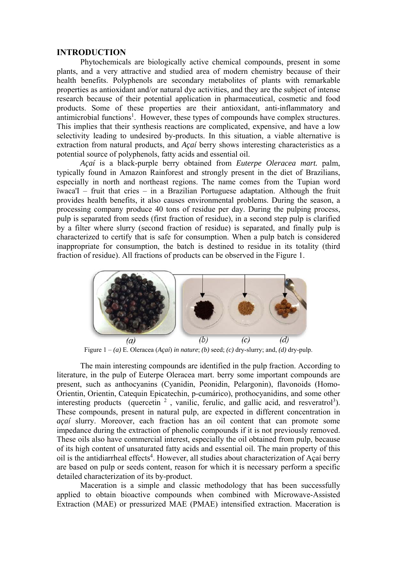#### **INTRODUCTION**

Phytochemicals are biologically active chemical compounds, present in some plants, and a very attractive and studied area of modern chemistry because of their health benefits. Polyphenols are secondary metabolites of plants with remarkable properties as antioxidant and/or natural dye activities, and they are the subject of intense research because of their potential application in pharmaceutical, cosmetic and food products. Some of these properties are their antioxidant, anti-inflammatory and antimicrobial functions<sup>1</sup>. However, these types of compounds have complex structures. This implies that their synthesis reactions are complicated, expensive, and have a low selectivity leading to undesired by-products. In this situation, a viable alternative is extraction from natural products, and *Açaí* berry shows interesting characteristics as a potential source of polyphenols, fatty acids and essential oil.

*Açaí* is a black-purple berry obtained from *Euterpe Oleracea mart.* palm, typically found in Amazon Rainforest and strongly present in the diet of Brazilians, especially in north and northeast regions. The name comes from the Tupian word ïwaca'I – fruit that cries – in a Brazilian Portuguese adaptation. Although the fruit provides health benefits, it also causes environmental problems. During the season, a processing company produce 40 tons of residue per day. During the pulping process, pulp is separated from seeds (first fraction of residue), in a second step pulp is clarified by a filter where slurry (second fraction of residue) is separated, and finally pulp is characterized to certify that is safe for consumption. When a pulp batch is considered inappropriate for consumption, the batch is destined to residue in its totality (third fraction of residue). All fractions of products can be observed in the Figure 1.



Figure 1 – *(a)* E. Oleracea (*Açaí*) *in nature*; *(b)* seed; *(c)* dry-slurry; and, *(d)* dry-pulp.

The main interesting compounds are identified in the pulp fraction. According to literature, in the pulp of Euterpe Oleracea mart. berry some important compounds are present, such as anthocyanins (Cyanidin, Peonidin, Pelargonin), flavonoids (Homo-Orientin, Orientin, Catequin Epicatechin, p-cumárico), prothocyanidins, and some other interesting products (quercetin  $2$ , vanilic, ferulic, and gallic acid, and resveratrol<sup>3</sup>). These compounds, present in natural pulp, are expected in different concentration in *açaí* slurry. Moreover, each fraction has an oil content that can promote some impedance during the extraction of phenolic compounds if it is not previously removed. These oils also have commercial interest, especially the oil obtained from pulp, because of its high content of unsaturated fatty acids and essential oil. The main property of this oil is the antidiarrheal effects<sup>4</sup>. However, all studies about characterization of Açaí berry are based on pulp or seeds content, reason for which it is necessary perform a specific detailed characterization of its by-product.

Maceration is a simple and classic methodology that has been successfully applied to obtain bioactive compounds when combined with Microwave-Assisted Extraction (MAE) or pressurized MAE (PMAE) intensified extraction. Maceration is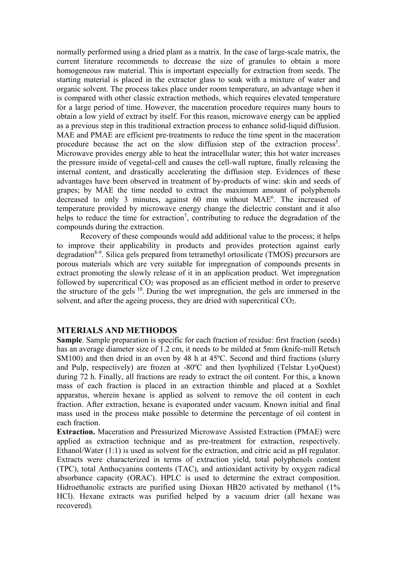normally performed using a dried plant as a matrix. In the case of large-scale matrix, the current literature recommends to decrease the size of granules to obtain a more homogeneous raw material. This is important especially for extraction from seeds. The starting material is placed in the extractor glass to soak with a mixture of water and organic solvent. The process takes place under room temperature, an advantage when it is compared with other classic extraction methods, which requires elevated temperature for a large period of time. However, the maceration procedure requires many hours to obtain a low yield of extract by itself. For this reason, microwave energy can be applied as a previous step in this traditional extraction process to enhance solid-liquid diffusion. MAE and PMAE are efficient pre-treatments to reduce the time spent in the maceration procedure because the act on the slow diffusion step of the extraction process<sup>5</sup>. Microwave provides energy able to heat the intracellular water; this hot water increases the pressure inside of vegetal-cell and causes the cell-wall rupture, finally releasing the internal content, and drastically accelerating the diffusion step. Evidences of these advantages have been observed in treatment of by-products of wine: skin and seeds of grapes; by MAE the time needed to extract the maximum amount of polyphenols decreased to only 3 minutes, against 60 min without MAE<sup>6</sup>. The increased of temperature provided by microwave energy change the dielectric constant and it also helps to reduce the time for extraction<sup>7</sup>, contributing to reduce the degradation of the compounds during the extraction.

Recovery of these compounds would add additional value to the process; it helps to improve their applicability in products and provides protection against early degradation<sup>8-9</sup>. Silica gels prepared from tetramethyl ortosilicate (TMOS) precursors are porous materials which are very suitable for impregnation of compounds presents in extract promoting the slowly release of it in an application product. Wet impregnation followed by supercritical CO<sub>2</sub> was proposed as an efficient method in order to preserve the structure of the gels 10. During the wet impregnation, the gels are immersed in the solvent, and after the ageing process, they are dried with supercritical CO2.

## **MTERIALS AND METHODOS**

**Sample**. Sample preparation is specific for each fraction of residue: first fraction (seeds) has an average diameter size of 1.2 cm, it needs to be milded at 5mm (knife-mill Retsch SM100) and then dried in an oven by 48 h at 45<sup>o</sup>C. Second and third fractions (slurry and Pulp, respectively) are frozen at -80ºC and then lyophilized (Telstar LyoQuest) during 72 h. Finally, all fractions are ready to extract the oil content. For this, a known mass of each fraction is placed in an extraction thimble and placed at a Soxhlet apparatus, wherein hexane is applied as solvent to remove the oil content in each fraction. After extraction, hexane is evaporated under vacuum. Known initial and final mass used in the process make possible to determine the percentage of oil content in each fraction.

**Extraction.** Maceration and Pressurized Microwave Assisted Extraction (PMAE) were applied as extraction technique and as pre-treatment for extraction, respectively. Ethanol/Water (1:1) is used as solvent for the extraction, and citric acid as pH regulator. Extracts were characterized in terms of extraction yield, total polyphenols content (TPC), total Anthocyanins contents (TAC), and antioxidant activity by oxygen radical absorbance capacity (ORAC). HPLC is used to determine the extract composition. Hidroethanolic extracts are purified using Dioxan HB20 activated by methanol (1%) HCl). Hexane extracts was purified helped by a vacuum drier (all hexane was recovered).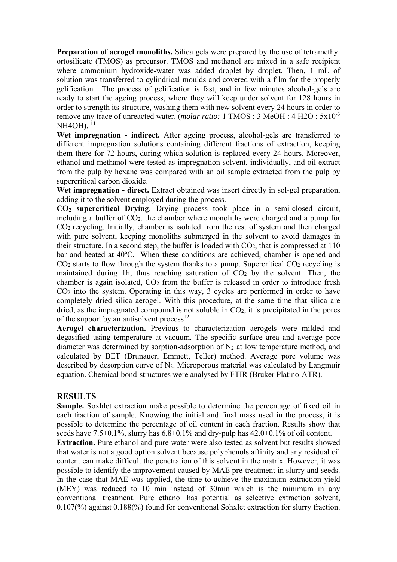**Preparation of aerogel monoliths.** Silica gels were prepared by the use of tetramethyl ortosilicate (TMOS) as precursor. TMOS and methanol are mixed in a safe recipient where ammonium hydroxide-water was added droplet by droplet. Then, 1 mL of solution was transferred to cylindrical moulds and covered with a film for the properly gelification. The process of gelification is fast, and in few minutes alcohol-gels are ready to start the ageing process, where they will keep under solvent for 128 hours in order to strength its structure, washing them with new solvent every 24 hours in order to remove any trace of unreacted water. (*molar ratio:* 1 TMOS : 3 MeOH : 4 H2O : 5x10-3 NH4OH).<sup>11</sup>

**Wet impregnation - indirect.** After ageing process, alcohol-gels are transferred to different impregnation solutions containing different fractions of extraction, keeping them there for 72 hours, during which solution is replaced every 24 hours. Moreover, ethanol and methanol were tested as impregnation solvent, individually, and oil extract from the pulp by hexane was compared with an oil sample extracted from the pulp by supercritical carbon dioxide.

**Wet impregnation - direct.** Extract obtained was insert directly in sol-gel preparation, adding it to the solvent employed during the process.

**CO2 supercritical Drying**. Drying process took place in a semi-closed circuit, including a buffer of CO2, the chamber where monoliths were charged and a pump for CO2 recycling. Initially, chamber is isolated from the rest of system and then charged with pure solvent, keeping monoliths submerged in the solvent to avoid damages in their structure. In a second step, the buffer is loaded with  $CO<sub>2</sub>$ , that is compressed at 110 bar and heated at 40ºC. When these conditions are achieved, chamber is opened and  $CO<sub>2</sub>$  starts to flow through the system thanks to a pump. Supercritical  $CO<sub>2</sub>$  recycling is maintained during 1h, thus reaching saturation of  $CO<sub>2</sub>$  by the solvent. Then, the chamber is again isolated,  $CO<sub>2</sub>$  from the buffer is released in order to introduce fresh  $CO<sub>2</sub>$  into the system. Operating in this way, 3 cycles are performed in order to have completely dried silica aerogel. With this procedure, at the same time that silica are dried, as the impregnated compound is not soluble in CO2, it is precipitated in the pores of the support by an antisolvent process<sup>12</sup>.

**Aerogel characterization.** Previous to characterization aerogels were milded and degasified using temperature at vacuum. The specific surface area and average pore diameter was determined by sorption-adsorption of  $N_2$  at low temperature method, and calculated by BET (Brunauer, Emmett, Teller) method. Average pore volume was described by desorption curve of N2. Microporous material was calculated by Langmuir equation. Chemical bond-structures were analysed by FTIR (Bruker Platino-ATR).

## **RESULTS**

**Sample.** Soxhlet extraction make possible to determine the percentage of fixed oil in each fraction of sample. Knowing the initial and final mass used in the process, it is possible to determine the percentage of oil content in each fraction. Results show that seeds have  $7.5\pm0.1\%$ , slurry has  $6.8\pm0.1\%$  and dry-pulp has  $42.0\pm0.1\%$  of oil content.

**Extraction.** Pure ethanol and pure water were also tested as solvent but results showed that water is not a good option solvent because polyphenols affinity and any residual oil content can make difficult the penetration of this solvent in the matrix. However, it was possible to identify the improvement caused by MAE pre-treatment in slurry and seeds. In the case that MAE was applied, the time to achieve the maximum extraction yield (MEY) was reduced to 10 min instead of 30min which is the minimum in any conventional treatment. Pure ethanol has potential as selective extraction solvent, 0.107(%) against 0.188(%) found for conventional Sohxlet extraction for slurry fraction.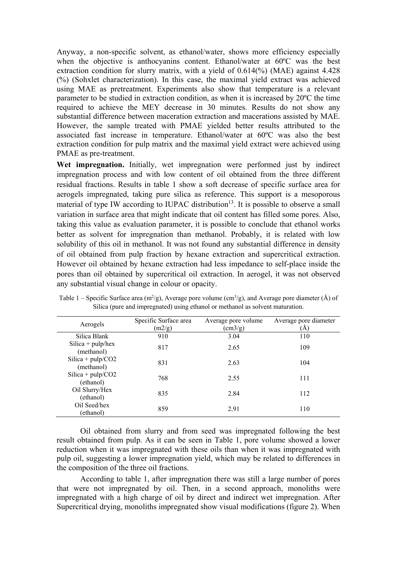Anyway, a non-specific solvent, as ethanol/water, shows more efficiency especially when the objective is anthocyanins content. Ethanol/water at 60ºC was the best extraction condition for slurry matrix, with a yield of 0.614(%) (MAE) against 4.428 (%) (Sohxlet characterization). In this case, the maximal yield extract was achieved using MAE as pretreatment. Experiments also show that temperature is a relevant parameter to be studied in extraction condition, as when it is increased by 20ºC the time required to achieve the MEY decrease in 30 minutes. Results do not show any substantial difference between maceration extraction and macerations assisted by MAE. However, the sample treated with PMAE yielded better results attributed to the associated fast increase in temperature. Ethanol/water at 60ºC was also the best extraction condition for pulp matrix and the maximal yield extract were achieved using PMAE as pre-treatment.

**Wet impregnation.** Initially, wet impregnation were performed just by indirect impregnation process and with low content of oil obtained from the three different residual fractions. Results in table 1 show a soft decrease of specific surface area for aerogels impregnated, taking pure silica as reference. This support is a mesoporous material of type IW according to IUPAC distribution<sup>13</sup>. It is possible to observe a small variation in surface area that might indicate that oil content has filled some pores. Also, taking this value as evaluation parameter, it is possible to conclude that ethanol works better as solvent for impregnation than methanol. Probably, it is related with low solubility of this oil in methanol. It was not found any substantial difference in density of oil obtained from pulp fraction by hexane extraction and supercritical extraction. However oil obtained by hexane extraction had less impedance to self-place inside the pores than oil obtained by supercritical oil extraction. In aerogel, it was not observed any substantial visual change in colour or opacity.

| Aerogels                          | Specific Surface area<br>(m2/g) | Average pore volume<br>$\text{cm3/g}$ ) | Average pore diameter<br>A |  |
|-----------------------------------|---------------------------------|-----------------------------------------|----------------------------|--|
| Silica Blank                      | 910                             | 3.04                                    | 110                        |  |
| Silica + $pulp/hex$<br>(methanol) | 817                             | 2.65                                    | 109                        |  |
| Silica + $pulp/CO2$<br>(methanol) | 831                             | 2.63                                    | 104                        |  |
| Silica + $pulp/CO2$<br>(ethanol)  | 768                             | 2.55                                    | 111                        |  |
| Oil Slurry/Hex<br>(ethanol)       | 835                             | 2.84                                    | 112                        |  |
| Oil Seed/hex<br>(ethanol)         | 859                             | 2.91                                    | 110                        |  |

Table 1 – Specific Surface area (m<sup>2</sup>/g), Average pore volume (cm<sup>3</sup>/g), and Average pore diameter (Å) of Silica (pure and impregnated) using ethanol or methanol as solvent maturation.

Oil obtained from slurry and from seed was impregnated following the best result obtained from pulp. As it can be seen in Table 1, pore volume showed a lower reduction when it was impregnated with these oils than when it was impregnated with pulp oil, suggesting a lower impregnation yield, which may be related to differences in the composition of the three oil fractions.

According to table 1, after impregnation there was still a large number of pores that were not impregnated by oil. Then, in a second approach, monoliths were impregnated with a high charge of oil by direct and indirect wet impregnation. After Supercritical drying, monoliths impregnated show visual modifications (figure 2). When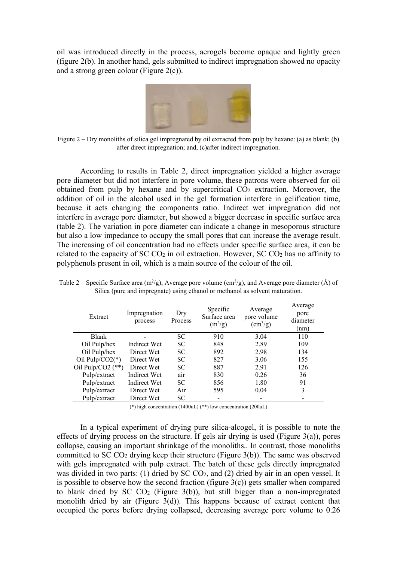oil was introduced directly in the process, aerogels become opaque and lightly green (figure 2(b). In another hand, gels submitted to indirect impregnation showed no opacity and a strong green colour (Figure 2(c)).



Figure 2 – Dry monoliths of silica gel impregnated by oil extracted from pulp by hexane: (a) as blank; (b) after direct impregnation; and, (c)after indirect impregnation.

According to results in Table 2, direct impregnation yielded a higher average pore diameter but did not interfere in pore volume, these patrons were observed for oil obtained from pulp by hexane and by supercritical  $CO<sub>2</sub>$  extraction. Moreover, the addition of oil in the alcohol used in the gel formation interfere in gelification time, because it acts changing the components ratio. Indirect wet impregnation did not interfere in average pore diameter, but showed a bigger decrease in specific surface area (table 2). The variation in pore diameter can indicate a change in mesoporous structure but also a low impedance to occupy the small pores that can increase the average result. The increasing of oil concentration had no effects under specific surface area, it can be related to the capacity of SC  $CO<sub>2</sub>$  in oil extraction. However, SC  $CO<sub>2</sub>$  has no affinity to polyphenols present in oil, which is a main source of the colour of the oil.

| Extract             | Impregnation<br>process | Dry<br>Process | Specific<br>Surface area<br>$(m^2/g)$ | Average<br>pore volume<br>$\rm (cm^3/g)$ | Average<br>pore<br>diameter<br>(nm) |
|---------------------|-------------------------|----------------|---------------------------------------|------------------------------------------|-------------------------------------|
| <b>Blank</b>        |                         | <b>SC</b>      | 910                                   | 3.04                                     | 110                                 |
| Oil Pulp/hex        | Indirect Wet            | SC.            | 848                                   | 2.89                                     | 109                                 |
| Oil Pulp/hex        | Direct Wet              | <b>SC</b>      | 892                                   | 2.98                                     | 134                                 |
| Oil Pulp/CO2( $*$ ) | Direct Wet              | <b>SC</b>      | 827                                   | 3.06                                     | 155                                 |
| Oil Pulp/CO2 $(**)$ | Direct Wet              | <b>SC</b>      | 887                                   | 2.91                                     | 126                                 |
| Pulp/extract        | Indirect Wet            | air            | 830                                   | 0.26                                     | 36                                  |
| Pulp/extract        | Indirect Wet            | SC             | 856                                   | 1.80                                     | 91                                  |
| Pulp/extract        | Direct Wet              | Air            | 595                                   | 0.04                                     | 3                                   |
| Pulp/extract        | Direct Wet              | <b>SC</b>      |                                       |                                          |                                     |

Table 2 – Specific Surface area  $(m^2/g)$ , Average pore volume  $(cm^3/g)$ , and Average pore diameter (Å) of Silica (pure and impregnate) using ethanol or methanol as solvent maturation.

(\*) high concentration (1400uL) (\*\*) low concentration (200uL)

In a typical experiment of drying pure silica-alcogel, it is possible to note the effects of drying process on the structure. If gels air drying is used (Figure 3(a)), pores collapse, causing an important shrinkage of the monoliths.. In contrast, those monoliths committed to SC  $CO<sub>2</sub>$  drying keep their structure (Figure 3(b)). The same was observed with gels impregnated with pulp extract. The batch of these gels directly impregnated was divided in two parts: (1) dried by SC CO<sub>2</sub>, and (2) dried by air in an open vessel. It is possible to observe how the second fraction (figure  $3(c)$ ) gets smaller when compared to blank dried by SC  $CO<sub>2</sub>$  (Figure 3(b)), but still bigger than a non-impregnated monolith dried by air (Figure 3(d)). This happens because of extract content that occupied the pores before drying collapsed, decreasing average pore volume to 0.26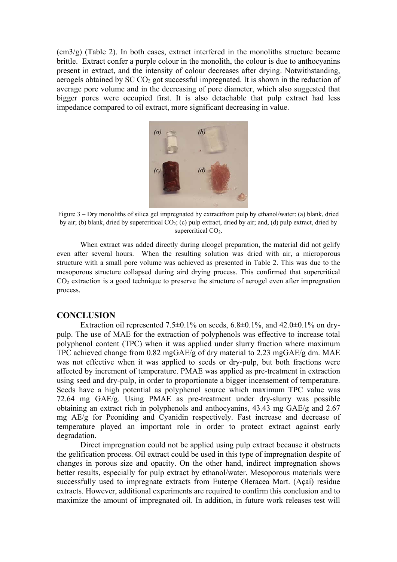$\text{cm}3/\text{g}$ ) (Table 2). In both cases, extract interfered in the monoliths structure became brittle. Extract confer a purple colour in the monolith, the colour is due to anthocyanins present in extract, and the intensity of colour decreases after drying. Notwithstanding, aerogels obtained by SC CO<sub>2</sub> got successful impregnated. It is shown in the reduction of average pore volume and in the decreasing of pore diameter, which also suggested that bigger pores were occupied first. It is also detachable that pulp extract had less impedance compared to oil extract, more significant decreasing in value.



Figure 3 – Dry monoliths of silica gel impregnated by extractfrom pulp by ethanol/water: (a) blank, dried by air; (b) blank, dried by supercritical CO2; (c) pulp extract, dried by air; and, (d) pulp extract, dried by supercritical  $CO<sub>2</sub>$ .

When extract was added directly during alcogel preparation, the material did not gelify even after several hours. When the resulting solution was dried with air, a microporous structure with a small pore volume was achieved as presented in Table 2. This was due to the mesoporous structure collapsed during aird drying process. This confirmed that supercritical  $CO<sub>2</sub>$  extraction is a good technique to preserve the structure of aerogel even after impregnation process.

### **CONCLUSION**

Extraction oil represented 7.5 $\pm$ 0.1% on seeds, 6.8 $\pm$ 0.1%, and 42.0 $\pm$ 0.1% on drypulp. The use of MAE for the extraction of polyphenols was effective to increase total polyphenol content (TPC) when it was applied under slurry fraction where maximum TPC achieved change from 0.82 mgGAE/g of dry material to 2.23 mgGAE/g dm. MAE was not effective when it was applied to seeds or dry-pulp, but both fractions were affected by increment of temperature. PMAE was applied as pre-treatment in extraction using seed and dry-pulp, in order to proportionate a bigger incensement of temperature. Seeds have a high potential as polyphenol source which maximum TPC value was 72.64 mg GAE/g. Using PMAE as pre-treatment under dry-slurry was possible obtaining an extract rich in polyphenols and anthocyanins, 43.43 mg GAE/g and 2.67 mg AE/g for Peoniding and Cyanidin respectively. Fast increase and decrease of temperature played an important role in order to protect extract against early degradation.

Direct impregnation could not be applied using pulp extract because it obstructs the gelification process. Oil extract could be used in this type of impregnation despite of changes in porous size and opacity. On the other hand, indirect impregnation shows better results, especially for pulp extract by ethanol/water. Mesoporous materials were successfully used to impregnate extracts from Euterpe Oleracea Mart. (Açaí) residue extracts. However, additional experiments are required to confirm this conclusion and to maximize the amount of impregnated oil. In addition, in future work releases test will